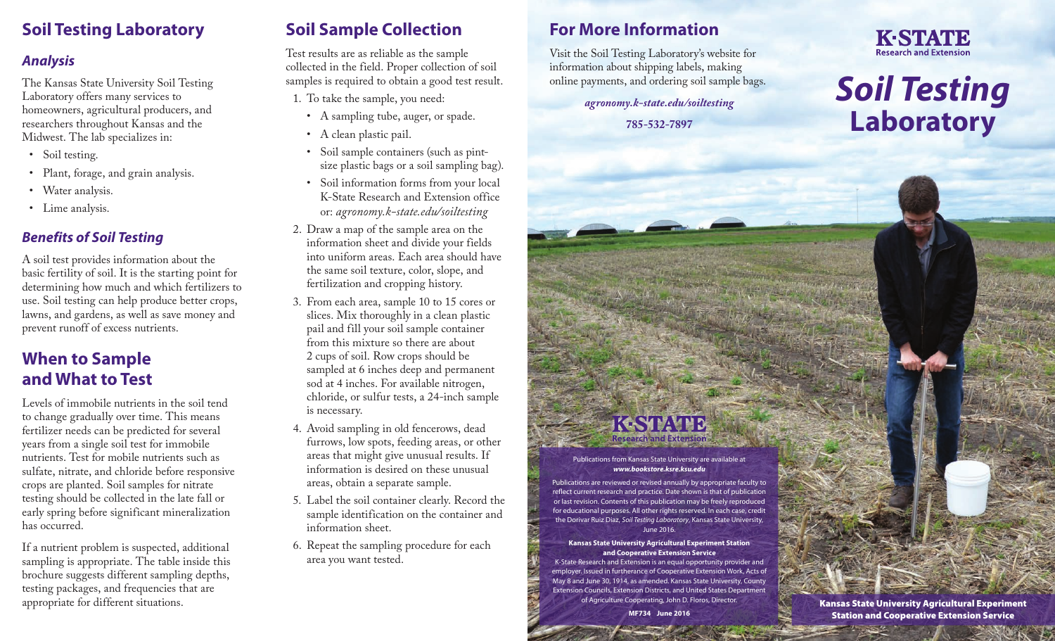### **Soil Testing Laboratory**

#### *Analysis*

The Kansas State University Soil Testing Laboratory offers many services to homeowners, agricultural producers, and researchers throughout Kansas and the Midwest. The lab specializes in:

- Soil testing.
- Plant, forage, and grain analysis.
- Water analysis.
- Lime analysis.

#### *Benefits of Soil Testing*

A soil test provides information about the basic fertility of soil. It is the starting point for determining how much and which fertilizers to use. Soil testing can help produce better crops, lawns, and gardens, as well as save money and prevent runoff of excess nutrients.

### **When to Sample and What to Test**

Levels of immobile nutrients in the soil tend to change gradually over time. This means fertilizer needs can be predicted for several years from a single soil test for immobile nutrients. Test for mobile nutrients such as sulfate, nitrate, and chloride before responsive crops are planted. Soil samples for nitrate testing should be collected in the late fall or early spring before significant mineralization has occurred.

If a nutrient problem is suspected, additional sampling is appropriate. The table inside this brochure suggests different sampling depths, testing packages, and frequencies that are appropriate for different situations.

### **Soil Sample Collection**

Test results are as reliable as the sample collected in the field. Proper collection of soil samples is required to obtain a good test result.

- 1. To take the sample, you need:
	- A sampling tube, auger, or spade.
	- A clean plastic pail.
	- Soil sample containers (such as pintsize plastic bags or a soil sampling bag).
	- Soil information forms from your local K-State Research and Extension office or: *[agronomy.k-state.edu/soiltesting](http://www.agronomy.k-state.edu/soiltesting)*
- 2. Draw a map of the sample area on the information sheet and divide your fields into uniform areas. Each area should have the same soil texture, color, slope, and fertilization and cropping history.
- 3. From each area, sample 10 to 15 cores or slices. Mix thoroughly in a clean plastic pail and fill your soil sample container from this mixture so there are about 2 cups of soil. Row crops should be sampled at 6 inches deep and permanent sod at 4 inches. For available nitrogen, chloride, or sulfur tests, a 24-inch sample is necessary.
- 4. Avoid sampling in old fencerows, dead furrows, low spots, feeding areas, or other areas that might give unusual results. If information is desired on these unusual areas, obtain a separate sample.
- 5. Label the soil container clearly. Record the sample identification on the container and information sheet.
- 6. Repeat the sampling procedure for each area you want tested.

### **For More Information**

Visit the Soil Testing Laboratory's website for information about shipping labels, making online payments, and ordering soil sample bags.

> *[agronomy.k-state.edu/soiltesting](http://www.agronomy.k-state.edu/soiltesting)* **785-532-7897**



# *Soil Testing* **Laboratory**

#### Publications from Kansas State University are available at *[www.bookstore.ksre.ksu.edu](http://www.bookstore.ksre.ksu.edu)*

Publications are reviewed or revised annually by appropriate faculty to reflect current research and practice. Date shown is that of publication or last revision. Contents of this publication may be freely reproduced for educational purposes. All other rights reserved. In each case, credit the Dorivar Ruiz Diaz, *Soil Testing Laboratory*, Kansas State University, June 2016.

#### **Kansas State University Agricultural Experiment Station and Cooperative Extension Service**

K-State Research and Extension is an equal opportunity provider and employer. Issued in furtherance of Cooperative Extension Work, Acts of May 8 and June 30, 1914, as amended. Kansas State University, County Extension Councils, Extension Districts, and United States Department of Agriculture Cooperating, John D. Floros, Director.

**MF734 June 2016**

Kansas State University Agricultural Experiment Station and Cooperative Extension Service